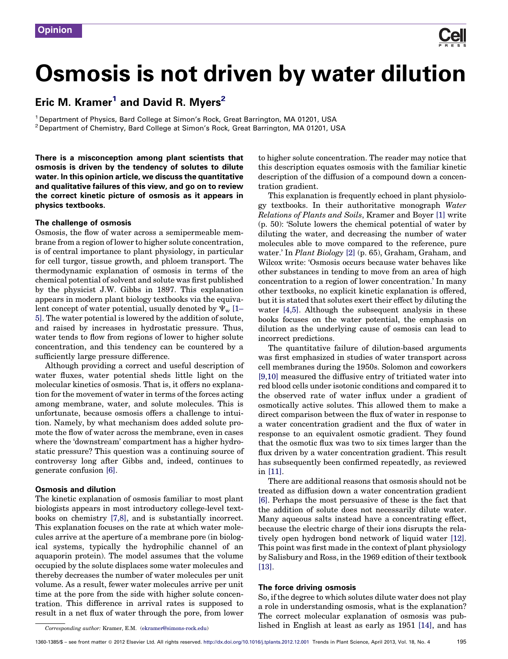# Osmosis is not driven by water dilution

# Eric M. Kramer<sup>1</sup> and David R. Myers<sup>2</sup>

<sup>1</sup> Department of Physics, Bard College at Simon's Rock, Great Barrington, MA 01201, USA <sup>2</sup> Department of Chemistry, Bard College at Simon's Rock, Great Barrington, MA 01201, USA

There is a misconception among plant scientists that osmosis is driven by the tendency of solutes to dilute water. In this opinion article, we discuss the quantitative and qualitative failures of this view, and go on to review the correct kinetic picture of osmosis as it appears in physics textbooks.

## The challenge of osmosis

Osmosis, the flow of water across a semipermeable membrane from a region of lower to higher solute concentration, is of central importance to plant physiology, in particular for cell turgor, tissue growth, and phloem transport. The thermodynamic explanation of osmosis in terms of the chemical potential of solvent and solute was first published by the physicist J.W. Gibbs in 1897. This explanation appears in modern plant biology textbooks via the equivalent concept of water potential, usually denoted by  $\Psi_{w}$  [\[1–](#page-2-0) [5\].](#page-2-0) The water potential is lowered by the addition of solute, and raised by increases in hydrostatic pressure. Thus, water tends to flow from regions of lower to higher solute concentration, and this tendency can be countered by a sufficiently large pressure difference.

Although providing a correct and useful description of water fluxes, water potential sheds little light on the molecular kinetics of osmosis. That is, it offers no explanation for the movement of water in terms of the forces acting among membrane, water, and solute molecules. This is unfortunate, because osmosis offers a challenge to intuition. Namely, by what mechanism does added solute promote the flow of water across the membrane, even in cases where the 'downstream' compartment has a higher hydrostatic pressure? This question was a continuing source of controversy long after Gibbs and, indeed, continues to generate confusion [\[6\]](#page-2-0).

#### Osmosis and dilution

The kinetic explanation of osmosis familiar to most plant biologists appears in most introductory college-level textbooks on chemistry [\[7,8\]](#page-2-0), and is substantially incorrect. This explanation focuses on the rate at which water molecules arrive at the aperture of a membrane pore (in biological systems, typically the hydrophilic channel of an aquaporin protein). The model assumes that the volume occupied by the solute displaces some water molecules and thereby decreases the number of water molecules per unit volume. As a result, fewer water molecules arrive per unit time at the pore from the side with higher solute concentration. This difference in arrival rates is supposed to result in a net flux of water through the pore, from lower to higher solute concentration. The reader may notice that this description equates osmosis with the familiar kinetic description of the diffusion of a compound down a concentration gradient.

This explanation is frequently echoed in plant physiology textbooks. In their authoritative monograph *Water Relations of Plants and Soils*, Kramer and Boyer [\[1\]](#page-2-0) write (p. 50): 'Solute lowers the chemical potential of water by diluting the water, and decreasing the number of water molecules able to move compared to the reference, pure water.' In *Plant Biology* [\[2\]](#page-2-0) (p. 65), Graham, Graham, and Wilcox write: 'Osmosis occurs because water behaves like other substances in tending to move from an area of high concentration to a region of lower concentration.' In many other textbooks, no explicit kinetic explanation is offered, but it is stated that solutes exert their effect by diluting the water [\[4,5\]](#page-2-0). Although the subsequent analysis in these books focuses on the water potential, the emphasis on dilution as the underlying cause of osmosis can lead to incorrect predictions.

The quantitative failure of dilution-based arguments was first emphasized in studies of water transport across cell membranes during the 1950s. Solomon and coworkers [\[9,10\]](#page-2-0) measured the diffusive entry of tritiated water into red blood cells under isotonic conditions and compared it to the observed rate of water influx under a gradient of osmotically active solutes. This allowed them to make a direct comparison between the flux of water in response to a water concentration gradient and the flux of water in response to an equivalent osmotic gradient. They found that the osmotic flux was two to six times larger than the flux driven by a water concentration gradient. This result has subsequently been confirmed repeatedly, as reviewed in [\[11\].](#page-2-0)

There are additional reasons that osmosis should not be treated as diffusion down a water concentration gradient [\[6\].](#page-2-0) Perhaps the most persuasive of these is the fact that the addition of solute does not necessarily dilute water. Many aqueous salts instead have a concentrating effect, because the electric charge of their ions disrupts the relatively open hydrogen bond network of liquid water [\[12\]](#page-2-0). This point was first made in the context of plant physiology by Salisbury and Ross, in the 1969 edition of their textbook [\[13\]](#page-2-0).

### The force driving osmosis

So, if the degree to which solutes dilute water does not play a role in understanding osmosis, what is the explanation? The correct molecular explanation of osmosis was published in English at least as early as 1951 [\[14\]](#page-2-0), and has

*Corresponding author:* Kramer, E.M. [\(ekramer@simons-rock.edu](mailto:ekramer@simons-rock.edu))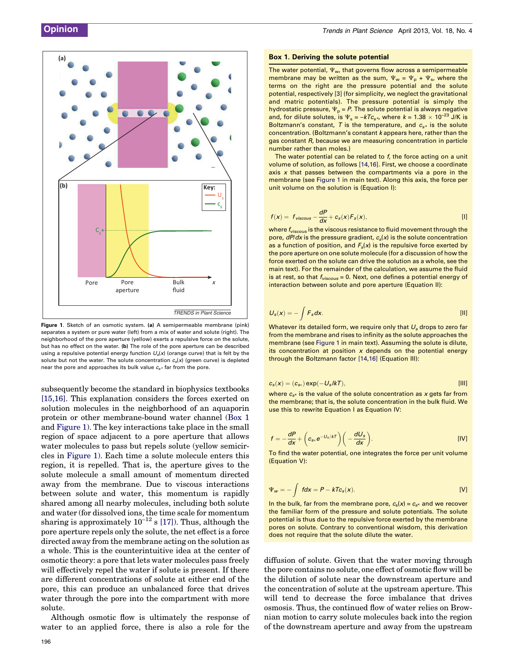<span id="page-1-0"></span>

Figure 1. Sketch of an osmotic system. (a) A semipermeable membrane (pink) separates a system or pure water (left) from a mix of water and solute (right). The neighborhood of the pore aperture (yellow) exerts a repulsive force on the solute, but has no effect on the water. (b) The role of the pore aperture can be described using a repulsive potential energy function  $U_s(x)$  (orange curve) that is felt by the solute but not the water. The solute concentration  $c_s(x)$  (green curve) is depleted near the pore and approaches its bulk value  $c_{s*}$  far from the pore.

subsequently become the standard in biophysics textbooks [\[15,16\]](#page-2-0). This explanation considers the forces exerted on solution molecules in the neighborhood of an aquaporin protein or other membrane-bound water channel (Box 1 and Figure 1). The key interactions take place in the small region of space adjacent to a pore aperture that allows water molecules to pass but repels solute (yellow semicircles in Figure 1). Each time a solute molecule enters this region, it is repelled. That is, the aperture gives to the solute molecule a small amount of momentum directed away from the membrane. Due to viscous interactions between solute and water, this momentum is rapidly shared among all nearby molecules, including both solute and water (for dissolved ions, the time scale for momentum sharing is approximately  $10^{-12}$  s [\[17\]](#page-2-0)). Thus, although the pore aperture repels only the solute, the net effect is a force directed away from the membrane acting on the solution as a whole. This is the counterintuitive idea at the center of osmotic theory: a pore that lets water molecules pass freely will effectively repel the water if solute is present. If there are different concentrations of solute at either end of the pore, this can produce an unbalanced force that drives water through the pore into the compartment with more solute.

Although osmotic flow is ultimately the response of water to an applied force, there is also a role for the

The water potential,  $\Psi_{\mathsf{w}}$ , that governs flow across a semipermeable membrane may be written as the sum,  $\Psi_w = \Psi_p + \Psi_s$ , where the terms on the right are the pressure potential and the solute potential, respectively [\[3\]](#page-2-0) (for simplicity, we neglect the gravitational and matric potentials). The pressure potential is simply the hydrostatic pressure,  $\Psi_p = P$ . The solute potential is always negative and, for dilute solutes, is  $\Psi_s = -kTc_{s*}$ , where  $k = 1.38 \times 10^{-23}$  J/K is Boltzmann's constant, T is the temperature, and  $c_{s*}$  is the solute concentration. (Boltzmann's constant k appears here, rather than the gas constant R, because we are measuring concentration in particle number rather than moles.)

The water potential can be related to f, the force acting on a unit volume of solution, as follows [\[14,16\]](#page-2-0). First, we choose a coordinate axis  $x$  that passes between the compartments via a pore in the membrane (see Figure 1 in main text). Along this axis, the force per unit volume on the solution is (Equation I):

$$
f(x) = f_{viscous} - \frac{dP}{dx} + c_s(x)F_s(x),
$$
 [1]

where  $f_{viscous}$  is the viscous resistance to fluid movement through the pore,  $dP/dx$  is the pressure gradient,  $c_s(x)$  is the solute concentration as a function of position, and  $F_s(x)$  is the repulsive force exerted by the pore aperture on one solute molecule (for a discussion of how the force exerted on the solute can drive the solution as a whole, see the main text). For the remainder of the calculation, we assume the fluid is at rest, so that  $f_{viscous} = 0$ . Next, one defines a potential energy of interaction between solute and pore aperture (Equation II):

$$
U_s(x) = -\int F_s dx.
$$
 [11]

Whatever its detailed form, we require only that  $U_s$  drops to zero far from the membrane and rises to infinity as the solute approaches the membrane (see Figure 1 in main text). Assuming the solute is dilute, its concentration at position  $x$  depends on the potential energy through the Boltzmann factor [\[14,16\]](#page-2-0) (Equation III):

$$
c_s(x) = (c_{s*}) \exp(-U_s / kT), \tag{III}
$$

where  $c_{\alpha*}$  is the value of the solute concentration as x gets far from the membrane; that is, the solute concentration in the bulk fluid. We use this to rewrite Equation I as Equation IV:

$$
f = -\frac{dP}{dx} + \left(c_{s*}e^{-U_s/kT}\right)\left(-\frac{dU_s}{dx}\right).
$$
 [IV]

To find the water potential, one integrates the force per unit volume (Equation V):

$$
\Psi_{w} = -\int f dx = P - kTc_{s}(x). \qquad [V]
$$

In the bulk, far from the membrane pore,  $c_s(x) = c_{s^*}$  and we recover the familiar form of the pressure and solute potentials. The solute potential is thus due to the repulsive force exerted by the membrane pores on solute. Contrary to conventional wisdom, this derivation does not require that the solute dilute the water.

diffusion of solute. Given that the water moving through the pore contains no solute, one effect of osmotic flow will be the dilution of solute near the downstream aperture and the concentration of solute at the upstream aperture. This will tend to decrease the force imbalance that drives osmosis. Thus, the continued flow of water relies on Brownian motion to carry solute molecules back into the region of the downstream aperture and away from the upstream